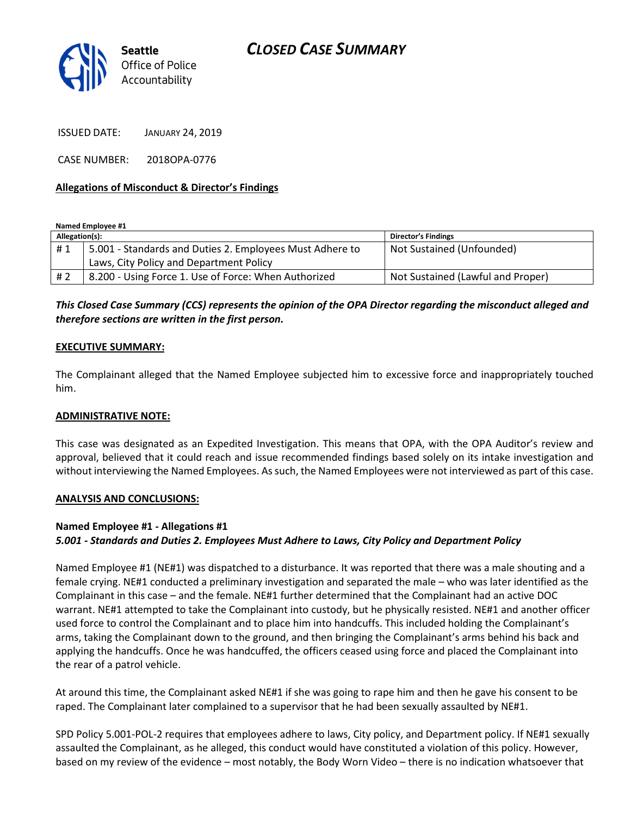

ISSUED DATE: JANUARY 24, 2019

CASE NUMBER: 2018OPA-0776

## Allegations of Misconduct & Director's Findings

Named Employee #1

| Allegation(s): |                                                          | <b>Director's Findings</b>        |
|----------------|----------------------------------------------------------|-----------------------------------|
| #1             | 5.001 - Standards and Duties 2. Employees Must Adhere to | Not Sustained (Unfounded)         |
|                | Laws, City Policy and Department Policy                  |                                   |
| # 2            | 8.200 - Using Force 1. Use of Force: When Authorized     | Not Sustained (Lawful and Proper) |

This Closed Case Summary (CCS) represents the opinion of the OPA Director regarding the misconduct alleged and therefore sections are written in the first person.

#### EXECUTIVE SUMMARY:

The Complainant alleged that the Named Employee subjected him to excessive force and inappropriately touched him.

#### ADMINISTRATIVE NOTE:

This case was designated as an Expedited Investigation. This means that OPA, with the OPA Auditor's review and approval, believed that it could reach and issue recommended findings based solely on its intake investigation and without interviewing the Named Employees. As such, the Named Employees were not interviewed as part of this case.

#### ANALYSIS AND CONCLUSIONS:

## Named Employee #1 - Allegations #1

## 5.001 - Standards and Duties 2. Employees Must Adhere to Laws, City Policy and Department Policy

Named Employee #1 (NE#1) was dispatched to a disturbance. It was reported that there was a male shouting and a female crying. NE#1 conducted a preliminary investigation and separated the male – who was later identified as the Complainant in this case – and the female. NE#1 further determined that the Complainant had an active DOC warrant. NE#1 attempted to take the Complainant into custody, but he physically resisted. NE#1 and another officer used force to control the Complainant and to place him into handcuffs. This included holding the Complainant's arms, taking the Complainant down to the ground, and then bringing the Complainant's arms behind his back and applying the handcuffs. Once he was handcuffed, the officers ceased using force and placed the Complainant into the rear of a patrol vehicle.

At around this time, the Complainant asked NE#1 if she was going to rape him and then he gave his consent to be raped. The Complainant later complained to a supervisor that he had been sexually assaulted by NE#1.

SPD Policy 5.001-POL-2 requires that employees adhere to laws, City policy, and Department policy. If NE#1 sexually assaulted the Complainant, as he alleged, this conduct would have constituted a violation of this policy. However, based on my review of the evidence – most notably, the Body Worn Video – there is no indication whatsoever that